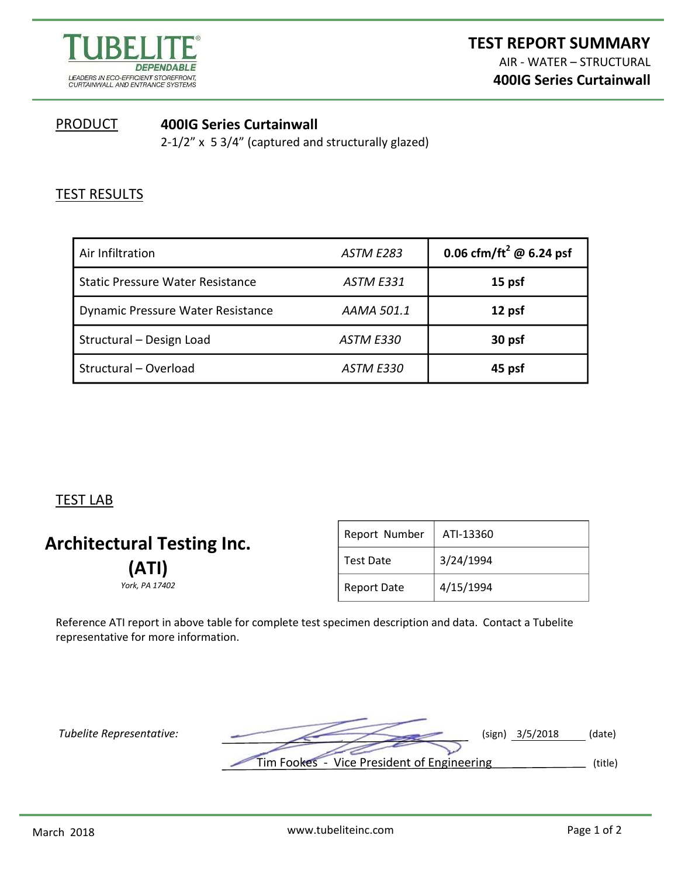

## **PRODUCT 400IG Series Curtainwall**  2-1/2" x 5 3/4" (captured and structurally glazed)

## **TEST RESULTS**

| Air Infiltration                        | ASTM E283        | 0.06 cfm/ft <sup>2</sup> @ 6.24 psf |
|-----------------------------------------|------------------|-------------------------------------|
| <b>Static Pressure Water Resistance</b> | <b>ASTM E331</b> | 15 psf                              |
| Dynamic Pressure Water Resistance       | AAMA 501.1       | 12 psf                              |
| Structural - Design Load                | <b>ASTM E330</b> | 30 psf                              |
| Structural - Overload                   | ASTM E330        | 45 psf                              |

## TEST LAB

| <b>Architectural Testing Inc.</b> | Report Number      | ATI-13360 |  |
|-----------------------------------|--------------------|-----------|--|
| (ATI)<br>York, PA 17402           | Test Date          | 3/24/1994 |  |
|                                   | <b>Report Date</b> | 4/15/1994 |  |

Reference ATI report in above table for complete test specimen description and data. Contact a Tubelite representative for more information.

*Tubelite Representative:* (sign) 3/5/2018 (date) Tim Fookes - Vice President of Engineering (title)